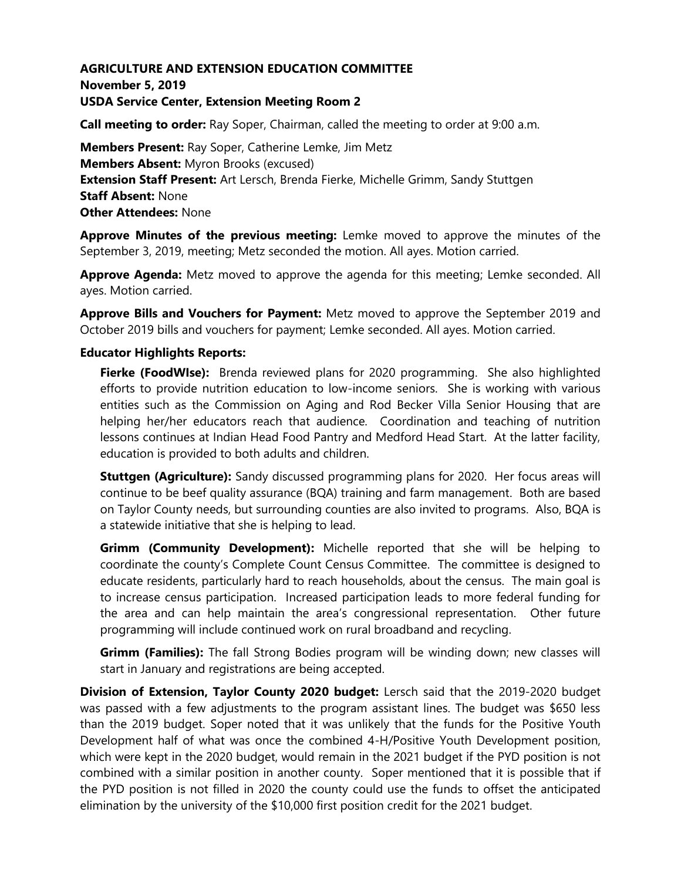# **AGRICULTURE AND EXTENSION EDUCATION COMMITTEE November 5, 2019 USDA Service Center, Extension Meeting Room 2**

**Call meeting to order:** Ray Soper, Chairman, called the meeting to order at 9:00 a.m.

**Members Present:** Ray Soper, Catherine Lemke, Jim Metz **Members Absent:** Myron Brooks (excused) **Extension Staff Present:** Art Lersch, Brenda Fierke, Michelle Grimm, Sandy Stuttgen **Staff Absent:** None **Other Attendees:** None

**Approve Minutes of the previous meeting:** Lemke moved to approve the minutes of the September 3, 2019, meeting; Metz seconded the motion. All ayes. Motion carried.

**Approve Agenda:** Metz moved to approve the agenda for this meeting; Lemke seconded. All ayes. Motion carried.

**Approve Bills and Vouchers for Payment:** Metz moved to approve the September 2019 and October 2019 bills and vouchers for payment; Lemke seconded. All ayes. Motion carried.

### **Educator Highlights Reports:**

**Fierke (FoodWIse):** Brenda reviewed plans for 2020 programming. She also highlighted efforts to provide nutrition education to low-income seniors. She is working with various entities such as the Commission on Aging and Rod Becker Villa Senior Housing that are helping her/her educators reach that audience. Coordination and teaching of nutrition lessons continues at Indian Head Food Pantry and Medford Head Start. At the latter facility, education is provided to both adults and children.

**Stuttgen (Agriculture):** Sandy discussed programming plans for 2020. Her focus areas will continue to be beef quality assurance (BQA) training and farm management. Both are based on Taylor County needs, but surrounding counties are also invited to programs. Also, BQA is a statewide initiative that she is helping to lead.

**Grimm (Community Development):** Michelle reported that she will be helping to coordinate the county's Complete Count Census Committee. The committee is designed to educate residents, particularly hard to reach households, about the census. The main goal is to increase census participation. Increased participation leads to more federal funding for the area and can help maintain the area's congressional representation. Other future programming will include continued work on rural broadband and recycling.

**Grimm (Families):** The fall Strong Bodies program will be winding down; new classes will start in January and registrations are being accepted.

**Division of Extension, Taylor County 2020 budget:** Lersch said that the 2019-2020 budget was passed with a few adjustments to the program assistant lines. The budget was \$650 less than the 2019 budget. Soper noted that it was unlikely that the funds for the Positive Youth Development half of what was once the combined 4-H/Positive Youth Development position, which were kept in the 2020 budget, would remain in the 2021 budget if the PYD position is not combined with a similar position in another county. Soper mentioned that it is possible that if the PYD position is not filled in 2020 the county could use the funds to offset the anticipated elimination by the university of the \$10,000 first position credit for the 2021 budget.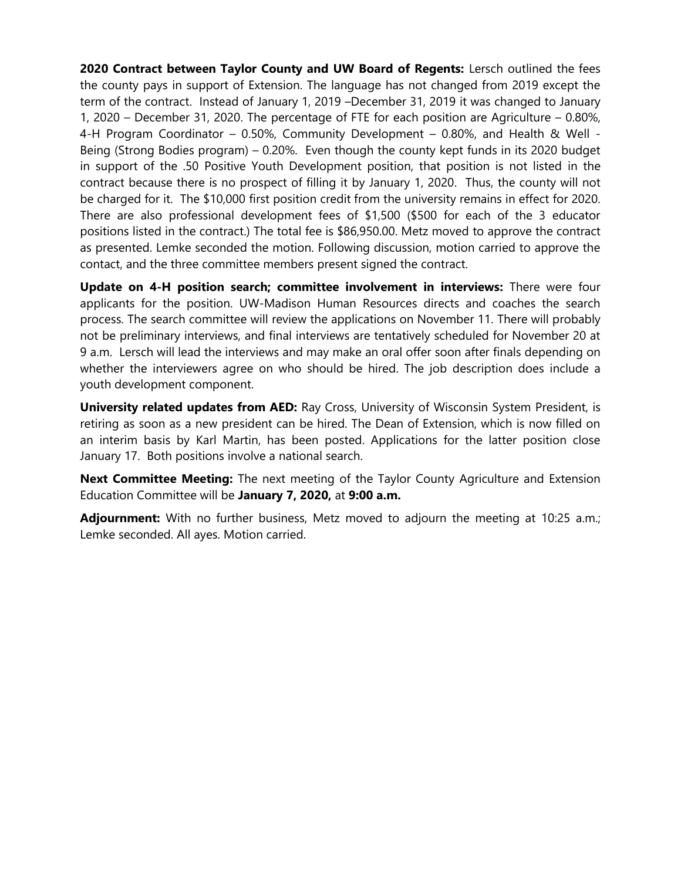**2020 Contract between Taylor County and UW Board of Regents:** Lersch outlined the fees the county pays in support of Extension. The language has not changed from 2019 except the term of the contract. Instead of January 1, 2019 –December 31, 2019 it was changed to January 1, 2020 – December 31, 2020. The percentage of FTE for each position are Agriculture – 0.80%, 4-H Program Coordinator – 0.50%, Community Development – 0.80%, and Health & Well - Being (Strong Bodies program) – 0.20%. Even though the county kept funds in its 2020 budget in support of the .50 Positive Youth Development position, that position is not listed in the contract because there is no prospect of filling it by January 1, 2020. Thus, the county will not be charged for it. The \$10,000 first position credit from the university remains in effect for 2020. There are also professional development fees of \$1,500 (\$500 for each of the 3 educator positions listed in the contract.) The total fee is \$86,950.00. Metz moved to approve the contract as presented. Lemke seconded the motion. Following discussion, motion carried to approve the contact, and the three committee members present signed the contract.

**Update on 4-H position search; committee involvement in interviews:** There were four applicants for the position. UW-Madison Human Resources directs and coaches the search process. The search committee will review the applications on November 11. There will probably not be preliminary interviews, and final interviews are tentatively scheduled for November 20 at 9 a.m. Lersch will lead the interviews and may make an oral offer soon after finals depending on whether the interviewers agree on who should be hired. The job description does include a youth development component.

**University related updates from AED:** Ray Cross, University of Wisconsin System President, is retiring as soon as a new president can be hired. The Dean of Extension, which is now filled on an interim basis by Karl Martin, has been posted. Applications for the latter position close January 17. Both positions involve a national search.

**Next Committee Meeting:** The next meeting of the Taylor County Agriculture and Extension Education Committee will be **January 7, 2020,** at **9:00 a.m.**

**Adjournment:** With no further business, Metz moved to adjourn the meeting at 10:25 a.m.; Lemke seconded. All ayes. Motion carried.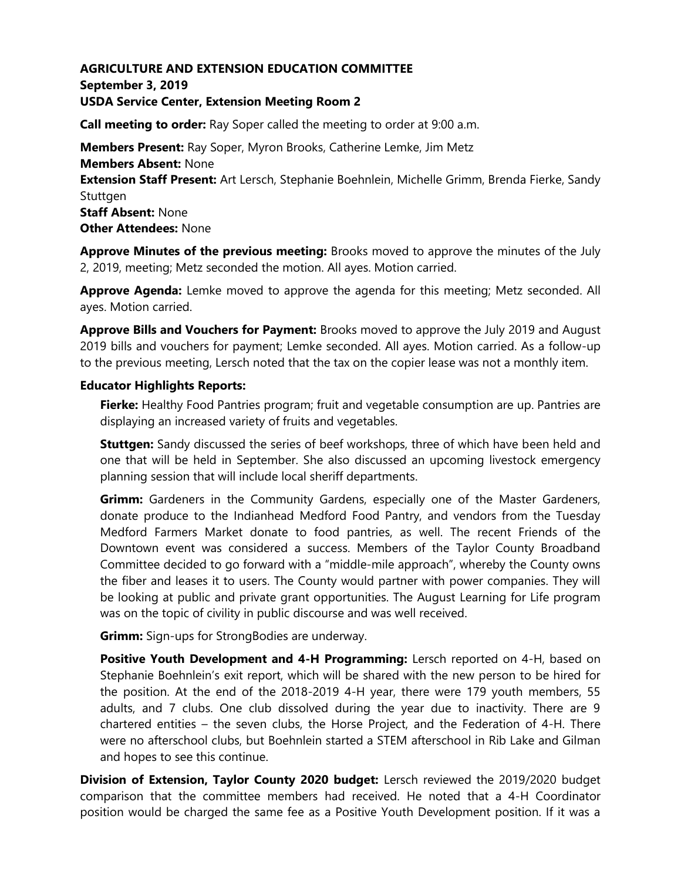# **AGRICULTURE AND EXTENSION EDUCATION COMMITTEE September 3, 2019 USDA Service Center, Extension Meeting Room 2**

**Call meeting to order:** Ray Soper called the meeting to order at 9:00 a.m.

**Members Present:** Ray Soper, Myron Brooks, Catherine Lemke, Jim Metz **Members Absent:** None **Extension Staff Present:** Art Lersch, Stephanie Boehnlein, Michelle Grimm, Brenda Fierke, Sandy Stuttgen **Staff Absent:** None **Other Attendees:** None

**Approve Minutes of the previous meeting:** Brooks moved to approve the minutes of the July 2, 2019, meeting; Metz seconded the motion. All ayes. Motion carried.

**Approve Agenda:** Lemke moved to approve the agenda for this meeting; Metz seconded. All ayes. Motion carried.

**Approve Bills and Vouchers for Payment:** Brooks moved to approve the July 2019 and August 2019 bills and vouchers for payment; Lemke seconded. All ayes. Motion carried. As a follow-up to the previous meeting, Lersch noted that the tax on the copier lease was not a monthly item.

#### **Educator Highlights Reports:**

**Fierke:** Healthy Food Pantries program; fruit and vegetable consumption are up. Pantries are displaying an increased variety of fruits and vegetables.

**Stuttgen:** Sandy discussed the series of beef workshops, three of which have been held and one that will be held in September. She also discussed an upcoming livestock emergency planning session that will include local sheriff departments.

**Grimm:** Gardeners in the Community Gardens, especially one of the Master Gardeners, donate produce to the Indianhead Medford Food Pantry, and vendors from the Tuesday Medford Farmers Market donate to food pantries, as well. The recent Friends of the Downtown event was considered a success. Members of the Taylor County Broadband Committee decided to go forward with a "middle-mile approach", whereby the County owns the fiber and leases it to users. The County would partner with power companies. They will be looking at public and private grant opportunities. The August Learning for Life program was on the topic of civility in public discourse and was well received.

**Grimm:** Sign-ups for StrongBodies are underway.

**Positive Youth Development and 4-H Programming:** Lersch reported on 4-H, based on Stephanie Boehnlein's exit report, which will be shared with the new person to be hired for the position. At the end of the 2018-2019 4-H year, there were 179 youth members, 55 adults, and 7 clubs. One club dissolved during the year due to inactivity. There are 9 chartered entities – the seven clubs, the Horse Project, and the Federation of 4-H. There were no afterschool clubs, but Boehnlein started a STEM afterschool in Rib Lake and Gilman and hopes to see this continue.

**Division of Extension, Taylor County 2020 budget:** Lersch reviewed the 2019/2020 budget comparison that the committee members had received. He noted that a 4-H Coordinator position would be charged the same fee as a Positive Youth Development position. If it was a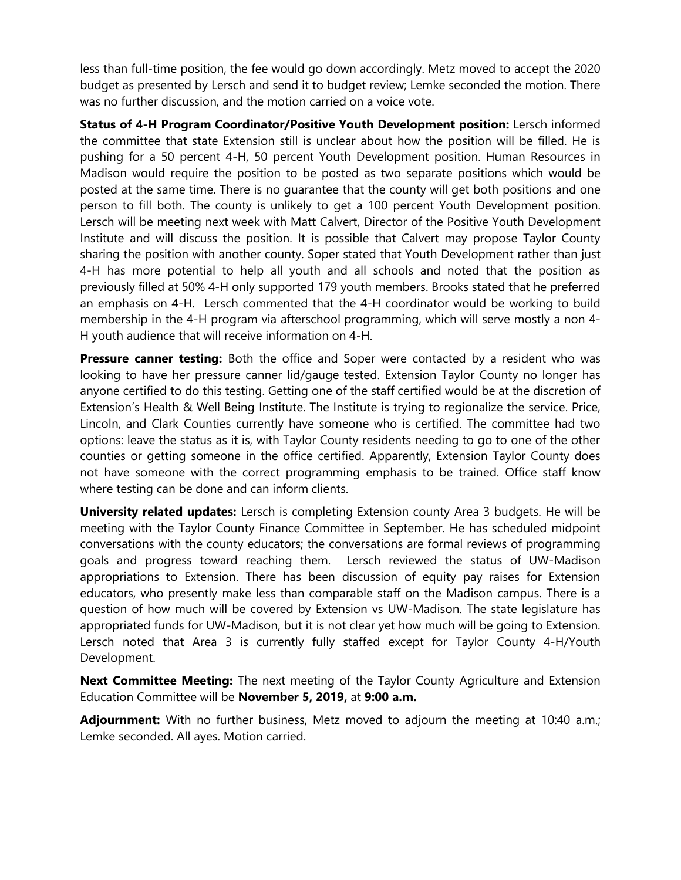less than full-time position, the fee would go down accordingly. Metz moved to accept the 2020 budget as presented by Lersch and send it to budget review; Lemke seconded the motion. There was no further discussion, and the motion carried on a voice vote.

**Status of 4-H Program Coordinator/Positive Youth Development position:** Lersch informed the committee that state Extension still is unclear about how the position will be filled. He is pushing for a 50 percent 4-H, 50 percent Youth Development position. Human Resources in Madison would require the position to be posted as two separate positions which would be posted at the same time. There is no guarantee that the county will get both positions and one person to fill both. The county is unlikely to get a 100 percent Youth Development position. Lersch will be meeting next week with Matt Calvert, Director of the Positive Youth Development Institute and will discuss the position. It is possible that Calvert may propose Taylor County sharing the position with another county. Soper stated that Youth Development rather than just 4-H has more potential to help all youth and all schools and noted that the position as previously filled at 50% 4-H only supported 179 youth members. Brooks stated that he preferred an emphasis on 4-H. Lersch commented that the 4-H coordinator would be working to build membership in the 4-H program via afterschool programming, which will serve mostly a non 4- H youth audience that will receive information on 4-H.

**Pressure canner testing:** Both the office and Soper were contacted by a resident who was looking to have her pressure canner lid/gauge tested. Extension Taylor County no longer has anyone certified to do this testing. Getting one of the staff certified would be at the discretion of Extension's Health & Well Being Institute. The Institute is trying to regionalize the service. Price, Lincoln, and Clark Counties currently have someone who is certified. The committee had two options: leave the status as it is, with Taylor County residents needing to go to one of the other counties or getting someone in the office certified. Apparently, Extension Taylor County does not have someone with the correct programming emphasis to be trained. Office staff know where testing can be done and can inform clients.

**University related updates:** Lersch is completing Extension county Area 3 budgets. He will be meeting with the Taylor County Finance Committee in September. He has scheduled midpoint conversations with the county educators; the conversations are formal reviews of programming goals and progress toward reaching them. Lersch reviewed the status of UW-Madison appropriations to Extension. There has been discussion of equity pay raises for Extension educators, who presently make less than comparable staff on the Madison campus. There is a question of how much will be covered by Extension vs UW-Madison. The state legislature has appropriated funds for UW-Madison, but it is not clear yet how much will be going to Extension. Lersch noted that Area 3 is currently fully staffed except for Taylor County 4-H/Youth Development.

**Next Committee Meeting:** The next meeting of the Taylor County Agriculture and Extension Education Committee will be **November 5, 2019,** at **9:00 a.m.**

**Adjournment:** With no further business, Metz moved to adjourn the meeting at 10:40 a.m.; Lemke seconded. All ayes. Motion carried.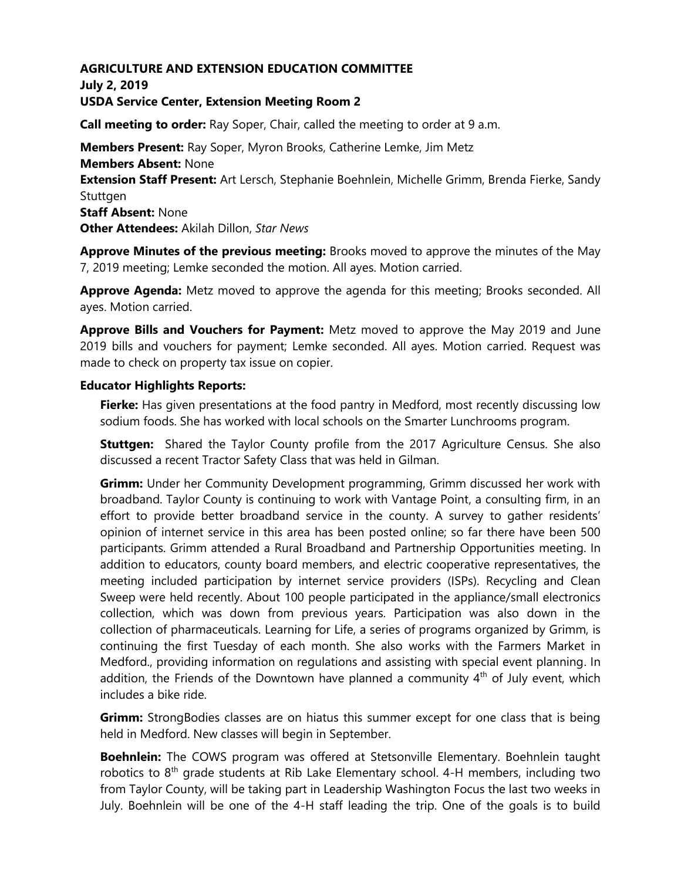#### **AGRICULTURE AND EXTENSION EDUCATION COMMITTEE July 2, 2019**

## **USDA Service Center, Extension Meeting Room 2**

**Call meeting to order:** Ray Soper, Chair, called the meeting to order at 9 a.m.

**Members Present:** Ray Soper, Myron Brooks, Catherine Lemke, Jim Metz **Members Absent:** None **Extension Staff Present:** Art Lersch, Stephanie Boehnlein, Michelle Grimm, Brenda Fierke, Sandy Stuttgen **Staff Absent:** None **Other Attendees:** Akilah Dillon, *Star News*

**Approve Minutes of the previous meeting:** Brooks moved to approve the minutes of the May 7, 2019 meeting; Lemke seconded the motion. All ayes. Motion carried.

**Approve Agenda:** Metz moved to approve the agenda for this meeting; Brooks seconded. All ayes. Motion carried.

**Approve Bills and Vouchers for Payment:** Metz moved to approve the May 2019 and June 2019 bills and vouchers for payment; Lemke seconded. All ayes. Motion carried. Request was made to check on property tax issue on copier.

#### **Educator Highlights Reports:**

**Fierke:** Has given presentations at the food pantry in Medford, most recently discussing low sodium foods. She has worked with local schools on the Smarter Lunchrooms program.

**Stuttgen:** Shared the Taylor County profile from the 2017 Agriculture Census. She also discussed a recent Tractor Safety Class that was held in Gilman.

**Grimm:** Under her Community Development programming, Grimm discussed her work with broadband. Taylor County is continuing to work with Vantage Point, a consulting firm, in an effort to provide better broadband service in the county. A survey to gather residents' opinion of internet service in this area has been posted online; so far there have been 500 participants. Grimm attended a Rural Broadband and Partnership Opportunities meeting. In addition to educators, county board members, and electric cooperative representatives, the meeting included participation by internet service providers (ISPs). Recycling and Clean Sweep were held recently. About 100 people participated in the appliance/small electronics collection, which was down from previous years. Participation was also down in the collection of pharmaceuticals. Learning for Life, a series of programs organized by Grimm, is continuing the first Tuesday of each month. She also works with the Farmers Market in Medford., providing information on regulations and assisting with special event planning. In addition, the Friends of the Downtown have planned a community  $4<sup>th</sup>$  of July event, which includes a bike ride.

**Grimm:** StrongBodies classes are on hiatus this summer except for one class that is being held in Medford. New classes will begin in September.

**Boehnlein:** The COWS program was offered at Stetsonville Elementary. Boehnlein taught robotics to  $8<sup>th</sup>$  grade students at Rib Lake Elementary school. 4-H members, including two from Taylor County, will be taking part in Leadership Washington Focus the last two weeks in July. Boehnlein will be one of the 4-H staff leading the trip. One of the goals is to build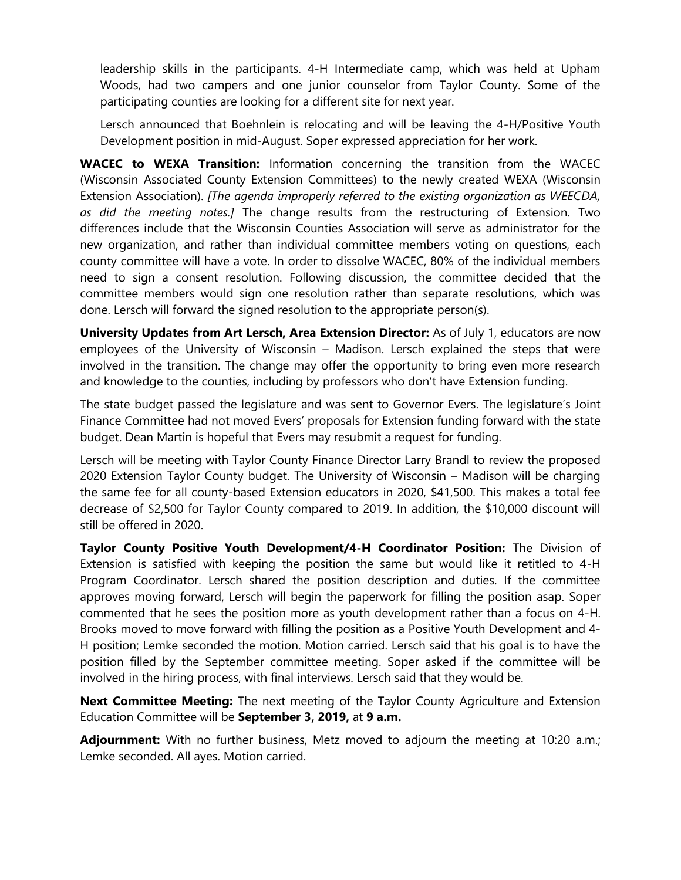leadership skills in the participants. 4-H Intermediate camp, which was held at Upham Woods, had two campers and one junior counselor from Taylor County. Some of the participating counties are looking for a different site for next year.

Lersch announced that Boehnlein is relocating and will be leaving the 4-H/Positive Youth Development position in mid-August. Soper expressed appreciation for her work.

**WACEC to WEXA Transition:** Information concerning the transition from the WACEC (Wisconsin Associated County Extension Committees) to the newly created WEXA (Wisconsin Extension Association). *[The agenda improperly referred to the existing organization as WEECDA, as did the meeting notes.]* The change results from the restructuring of Extension. Two differences include that the Wisconsin Counties Association will serve as administrator for the new organization, and rather than individual committee members voting on questions, each county committee will have a vote. In order to dissolve WACEC, 80% of the individual members need to sign a consent resolution. Following discussion, the committee decided that the committee members would sign one resolution rather than separate resolutions, which was done. Lersch will forward the signed resolution to the appropriate person(s).

**University Updates from Art Lersch, Area Extension Director:** As of July 1, educators are now employees of the University of Wisconsin – Madison. Lersch explained the steps that were involved in the transition. The change may offer the opportunity to bring even more research and knowledge to the counties, including by professors who don't have Extension funding.

The state budget passed the legislature and was sent to Governor Evers. The legislature's Joint Finance Committee had not moved Evers' proposals for Extension funding forward with the state budget. Dean Martin is hopeful that Evers may resubmit a request for funding.

Lersch will be meeting with Taylor County Finance Director Larry Brandl to review the proposed 2020 Extension Taylor County budget. The University of Wisconsin – Madison will be charging the same fee for all county-based Extension educators in 2020, \$41,500. This makes a total fee decrease of \$2,500 for Taylor County compared to 2019. In addition, the \$10,000 discount will still be offered in 2020.

**Taylor County Positive Youth Development/4-H Coordinator Position:** The Division of Extension is satisfied with keeping the position the same but would like it retitled to 4-H Program Coordinator. Lersch shared the position description and duties. If the committee approves moving forward, Lersch will begin the paperwork for filling the position asap. Soper commented that he sees the position more as youth development rather than a focus on 4-H. Brooks moved to move forward with filling the position as a Positive Youth Development and 4- H position; Lemke seconded the motion. Motion carried. Lersch said that his goal is to have the position filled by the September committee meeting. Soper asked if the committee will be involved in the hiring process, with final interviews. Lersch said that they would be.

**Next Committee Meeting:** The next meeting of the Taylor County Agriculture and Extension Education Committee will be **September 3, 2019,** at **9 a.m.**

**Adjournment:** With no further business, Metz moved to adjourn the meeting at 10:20 a.m.; Lemke seconded. All ayes. Motion carried.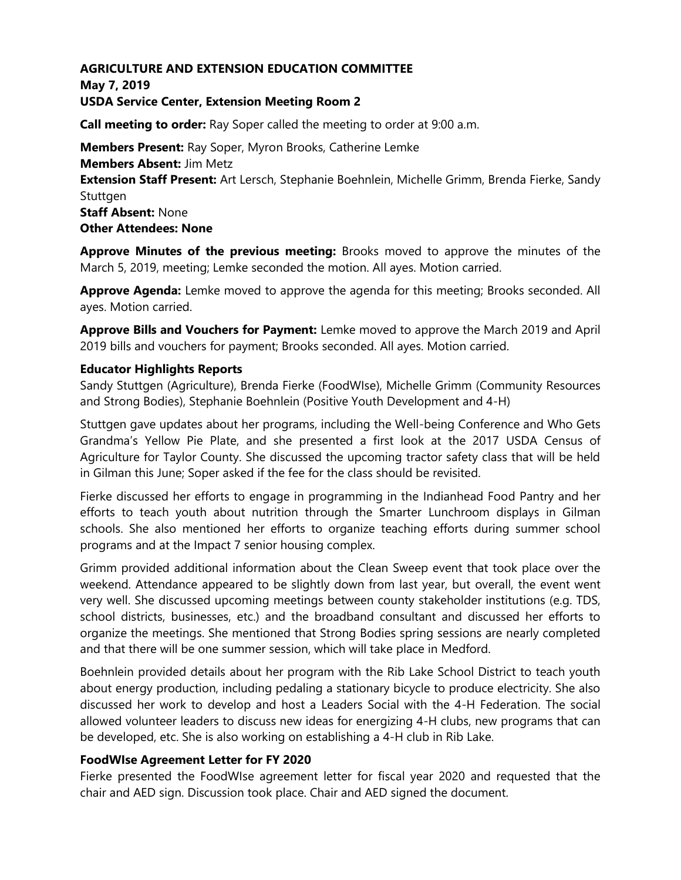# **AGRICULTURE AND EXTENSION EDUCATION COMMITTEE**

**May 7, 2019**

## **USDA Service Center, Extension Meeting Room 2**

**Call meeting to order:** Ray Soper called the meeting to order at 9:00 a.m.

**Members Present:** Ray Soper, Myron Brooks, Catherine Lemke **Members Absent:** Jim Metz **Extension Staff Present:** Art Lersch, Stephanie Boehnlein, Michelle Grimm, Brenda Fierke, Sandy Stuttgen **Staff Absent:** None **Other Attendees: None** 

**Approve Minutes of the previous meeting:** Brooks moved to approve the minutes of the March 5, 2019, meeting; Lemke seconded the motion. All ayes. Motion carried.

**Approve Agenda:** Lemke moved to approve the agenda for this meeting; Brooks seconded. All ayes. Motion carried.

**Approve Bills and Vouchers for Payment:** Lemke moved to approve the March 2019 and April 2019 bills and vouchers for payment; Brooks seconded. All ayes. Motion carried.

### **Educator Highlights Reports**

Sandy Stuttgen (Agriculture), Brenda Fierke (FoodWIse), Michelle Grimm (Community Resources and Strong Bodies), Stephanie Boehnlein (Positive Youth Development and 4-H)

Stuttgen gave updates about her programs, including the Well-being Conference and Who Gets Grandma's Yellow Pie Plate, and she presented a first look at the 2017 USDA Census of Agriculture for Taylor County. She discussed the upcoming tractor safety class that will be held in Gilman this June; Soper asked if the fee for the class should be revisited.

Fierke discussed her efforts to engage in programming in the Indianhead Food Pantry and her efforts to teach youth about nutrition through the Smarter Lunchroom displays in Gilman schools. She also mentioned her efforts to organize teaching efforts during summer school programs and at the Impact 7 senior housing complex.

Grimm provided additional information about the Clean Sweep event that took place over the weekend. Attendance appeared to be slightly down from last year, but overall, the event went very well. She discussed upcoming meetings between county stakeholder institutions (e.g. TDS, school districts, businesses, etc.) and the broadband consultant and discussed her efforts to organize the meetings. She mentioned that Strong Bodies spring sessions are nearly completed and that there will be one summer session, which will take place in Medford.

Boehnlein provided details about her program with the Rib Lake School District to teach youth about energy production, including pedaling a stationary bicycle to produce electricity. She also discussed her work to develop and host a Leaders Social with the 4-H Federation. The social allowed volunteer leaders to discuss new ideas for energizing 4-H clubs, new programs that can be developed, etc. She is also working on establishing a 4-H club in Rib Lake.

### **FoodWIse Agreement Letter for FY 2020**

Fierke presented the FoodWIse agreement letter for fiscal year 2020 and requested that the chair and AED sign. Discussion took place. Chair and AED signed the document.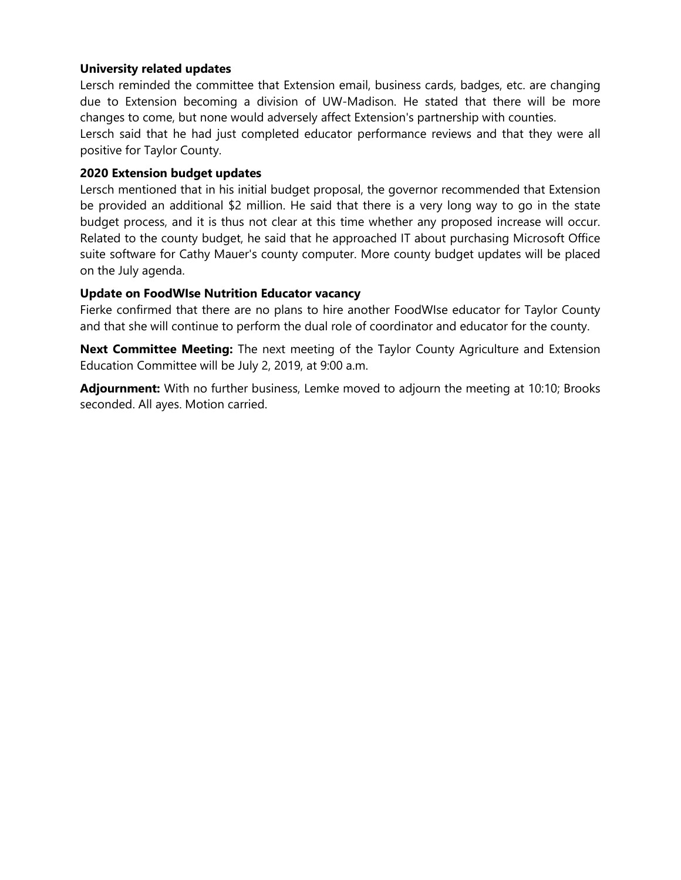## **University related updates**

Lersch reminded the committee that Extension email, business cards, badges, etc. are changing due to Extension becoming a division of UW-Madison. He stated that there will be more changes to come, but none would adversely affect Extension's partnership with counties.

Lersch said that he had just completed educator performance reviews and that they were all positive for Taylor County.

### **2020 Extension budget updates**

Lersch mentioned that in his initial budget proposal, the governor recommended that Extension be provided an additional \$2 million. He said that there is a very long way to go in the state budget process, and it is thus not clear at this time whether any proposed increase will occur. Related to the county budget, he said that he approached IT about purchasing Microsoft Office suite software for Cathy Mauer's county computer. More county budget updates will be placed on the July agenda.

### **Update on FoodWIse Nutrition Educator vacancy**

Fierke confirmed that there are no plans to hire another FoodWIse educator for Taylor County and that she will continue to perform the dual role of coordinator and educator for the county.

**Next Committee Meeting:** The next meeting of the Taylor County Agriculture and Extension Education Committee will be July 2, 2019, at 9:00 a.m.

**Adjournment:** With no further business, Lemke moved to adjourn the meeting at 10:10; Brooks seconded. All ayes. Motion carried.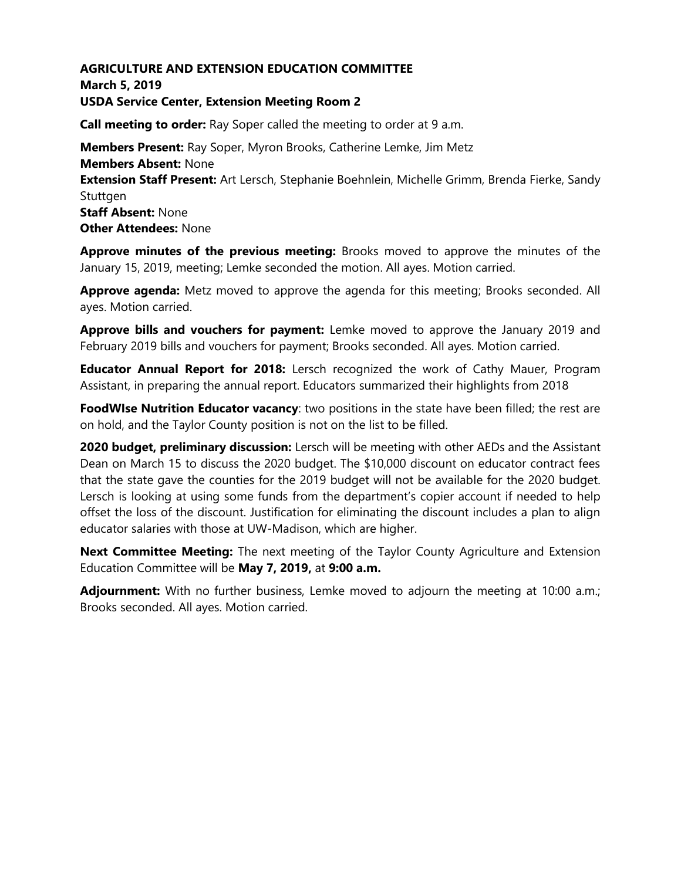## **AGRICULTURE AND EXTENSION EDUCATION COMMITTEE March 5, 2019 USDA Service Center, Extension Meeting Room 2**

**Call meeting to order:** Ray Soper called the meeting to order at 9 a.m.

**Members Present:** Ray Soper, Myron Brooks, Catherine Lemke, Jim Metz **Members Absent:** None **Extension Staff Present:** Art Lersch, Stephanie Boehnlein, Michelle Grimm, Brenda Fierke, Sandy Stuttgen **Staff Absent:** None **Other Attendees:** None

**Approve minutes of the previous meeting:** Brooks moved to approve the minutes of the January 15, 2019, meeting; Lemke seconded the motion. All ayes. Motion carried.

**Approve agenda:** Metz moved to approve the agenda for this meeting; Brooks seconded. All ayes. Motion carried.

**Approve bills and vouchers for payment:** Lemke moved to approve the January 2019 and February 2019 bills and vouchers for payment; Brooks seconded. All ayes. Motion carried.

**Educator Annual Report for 2018:** Lersch recognized the work of Cathy Mauer, Program Assistant, in preparing the annual report. Educators summarized their highlights from 2018

**FoodWIse Nutrition Educator vacancy**: two positions in the state have been filled; the rest are on hold, and the Taylor County position is not on the list to be filled.

**2020 budget, preliminary discussion:** Lersch will be meeting with other AEDs and the Assistant Dean on March 15 to discuss the 2020 budget. The \$10,000 discount on educator contract fees that the state gave the counties for the 2019 budget will not be available for the 2020 budget. Lersch is looking at using some funds from the department's copier account if needed to help offset the loss of the discount. Justification for eliminating the discount includes a plan to align educator salaries with those at UW-Madison, which are higher.

**Next Committee Meeting:** The next meeting of the Taylor County Agriculture and Extension Education Committee will be **May 7, 2019,** at **9:00 a.m.**

**Adjournment:** With no further business, Lemke moved to adjourn the meeting at 10:00 a.m.; Brooks seconded. All ayes. Motion carried.